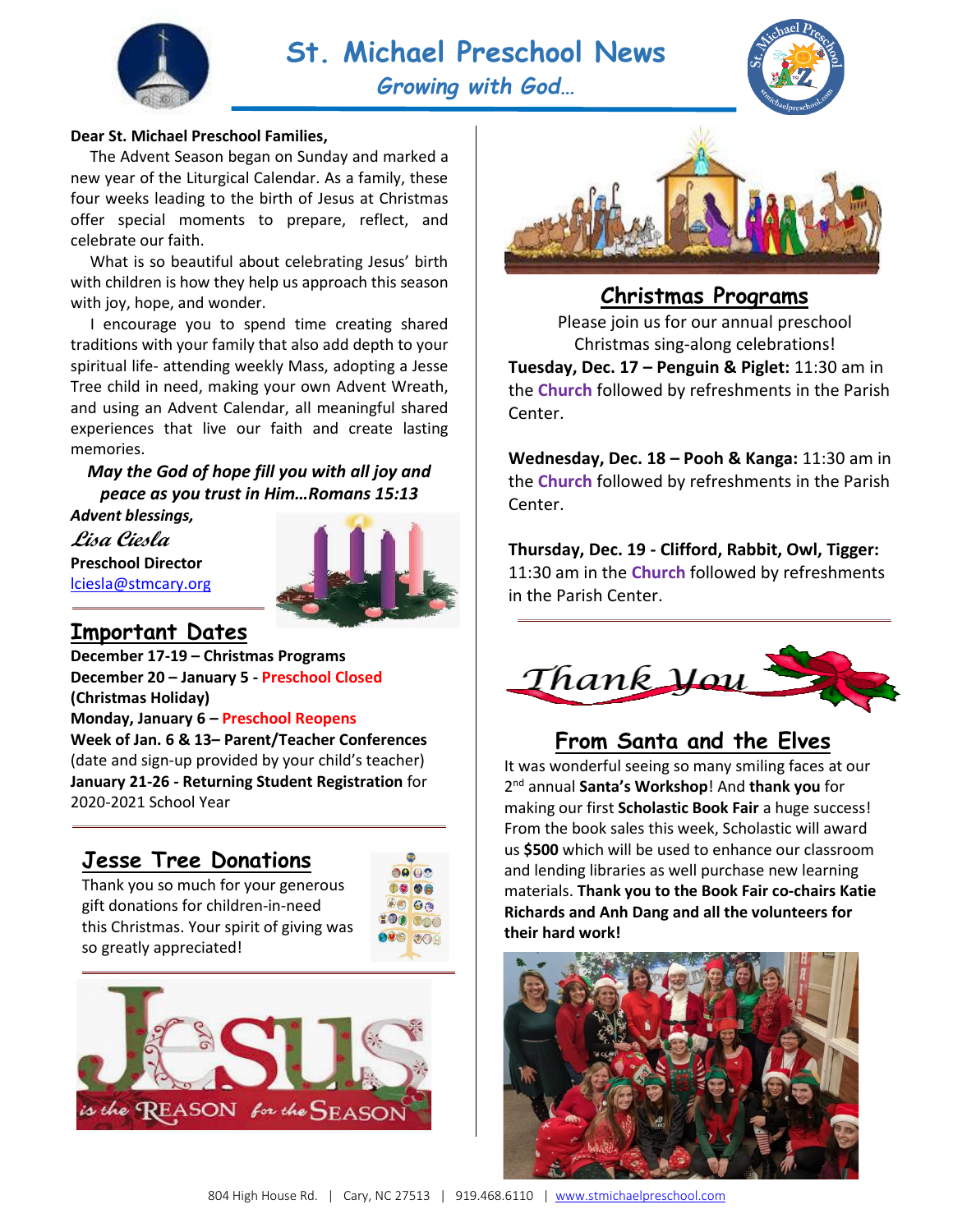



#### **Dear St. Michael Preschool Families,**

 The Advent Season began on Sunday and marked a new year of the Liturgical Calendar. As a family, these four weeks leading to the birth of Jesus at Christmas offer special moments to prepare, reflect, and celebrate our faith.

 What is so beautiful about celebrating Jesus' birth with children is how they help us approach this season with joy, hope, and wonder.

 I encourage you to spend time creating shared traditions with your family that also add depth to your spiritual life- attending weekly Mass, adopting a Jesse Tree child in need, making your own Advent Wreath, and using an Advent Calendar, all meaningful shared experiences that live our faith and create lasting memories.

*May the God of hope fill you with all joy and peace as you trust in Him…Romans 15:13*

*Advent blessings,* **Lisa Ciesla Preschool Director** [lciesla@stmcary.org](mailto:lciesla@stmcary.org)



#### **Important Dates**

**December 17-19 – Christmas Programs December 20 – January 5 - Preschool Closed (Christmas Holiday)**

**Monday, January 6 – Preschool Reopens**

**Week of Jan. 6 & 13– Parent/Teacher Conferences** (date and sign-up provided by your child's teacher) **January 21-26 - Returning Student Registration** for 2020-2021 School Year

### **Jesse Tree Donations**

Thank you so much for your generous gift donations for children-in-need this Christmas. Your spirit of giving was so greatly appreciated!







### **Christmas Programs**

Please join us for our annual preschool Christmas sing-along celebrations! **Tuesday, Dec. 17 – Penguin & Piglet:** 11:30 am in the **Church** followed by refreshments in the Parish Center.

**Wednesday, Dec. 18 – Pooh & Kanga:** 11:30 am in the **Church** followed by refreshments in the Parish Center.

**Thursday, Dec. 19 - Clifford, Rabbit, Owl, Tigger:**  11:30 am in the **Church** followed by refreshments in the Parish Center.



## **From Santa and the Elves**

It was wonderful seeing so many smiling faces at our 2 nd annual **Santa's Workshop**! And **thank you** for making our first **Scholastic Book Fair** a huge success! From the book sales this week, Scholastic will award us **\$500** which will be used to enhance our classroom and lending libraries as well purchase new learning materials. **Thank you to the Book Fair co-chairs Katie Richards and Anh Dang and all the volunteers for their hard work!**

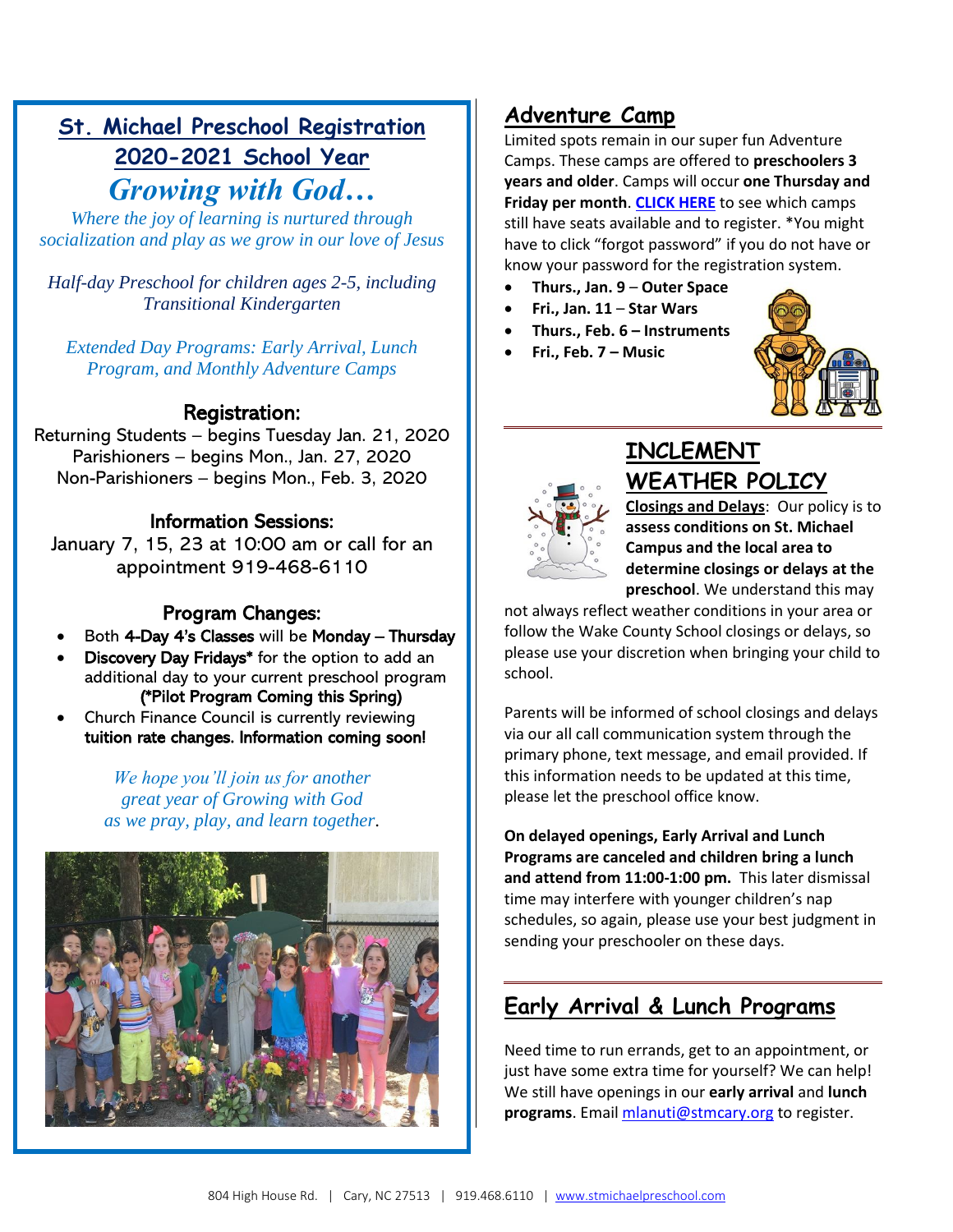## **St. Michael Preschool Registration 2020-2021 School Year** *Growing with God…*

*Where the joy of learning is nurtured through socialization and play as we grow in our love of Jesus*

*Half-day Preschool for children ages 2-5, including Transitional Kindergarten*

*Extended Day Programs: Early Arrival, Lunch Program, and Monthly Adventure Camps*

#### Registration:

Returning Students – begins Tuesday Jan. 21, 2020 Parishioners – begins Mon., Jan. 27, 2020 Non-Parishioners – begins Mon., Feb. 3, 2020

#### Information Sessions:

January 7, 15, 23 at 10:00 am or call for an appointment 919-468-6110

#### Program Changes:

- Both 4-Day 4's Classes will be Monday Thursday
- Discovery Day Fridays\* for the option to add an additional day to your current preschool program (\*Pilot Program Coming this Spring)
- Church Finance Council is currently reviewing tuition rate changes. Information coming soon!

*We hope you'll join us for another great year of Growing with God as we pray, play, and learn together*.



## **Adventure Camp**

Limited spots remain in our super fun Adventure Camps. These camps are offered to **preschoolers 3 years and older**. Camps will occur **one Thursday and Friday per month**. **[CLICK HERE](https://onrealm.org/StMichaelArchangel/PublicRegistrations/Event?linkString=M2Q1MTQ1OTQtZjZlYi00NWMyLTk4YzktYWE2ODAwZWEyYjY4)** to see which camps still have seats available and to register. \*You might have to click "forgot password" if you do not have or know your password for the registration system.

- **Thurs., Jan. 9 Outer Space**
- **Fri., Jan. 11 Star Wars**
- **Thurs., Feb. 6 – Instruments**
- **Fri., Feb. 7 – Music**





## **INCLEMENT WEATHER POLICY**

**Closings and Delays**: Our policy is to **assess conditions on St. Michael Campus and the local area to determine closings or delays at the preschool**. We understand this may

not always reflect weather conditions in your area or follow the Wake County School closings or delays, so please use your discretion when bringing your child to school.

Parents will be informed of school closings and delays via our all call communication system through the primary phone, text message, and email provided. If this information needs to be updated at this time, please let the preschool office know.

**On delayed openings, Early Arrival and Lunch Programs are canceled and children bring a lunch and attend from 11:00-1:00 pm.** This later dismissal time may interfere with younger children's nap schedules, so again, please use your best judgment in sending your preschooler on these days.

## **Early Arrival & Lunch Programs**

Need time to run errands, get to an appointment, or just have some extra time for yourself? We can help! We still have openings in our **early arrival** and **lunch programs**. Email [mlanuti@stmcary.org](mailto:mlanuti@stmcary.org) to register.